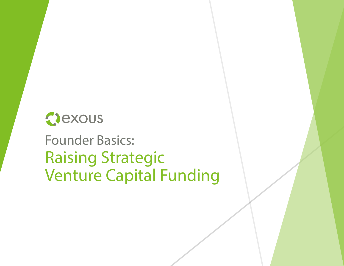## Oexous

## Raising Strategic Venture Capital Funding Founder Basics: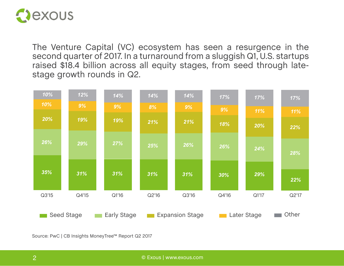

The Venture Capital (VC) ecosystem has seen a resurgence in the second quarter of 2017. In a turnaround from a sluggish Q1, U.S. startups raised \$18.4 billion across all equity stages, from seed through latestage growth rounds in Q2.



Source: PwC | CB Insights MoneyTree™ Report Q2 2017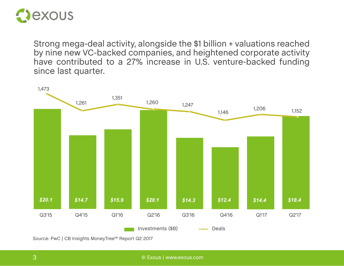

Strong mega-deal activity, alongside the \$1 billion + valuations reached by nine new VC-backed companies, and heightened corporate activity have contributed to a 27% increase in U.S. venture-backed funding since last quarter.



Source: PwC | CB Insights MoneyTree™ Report Q2 2017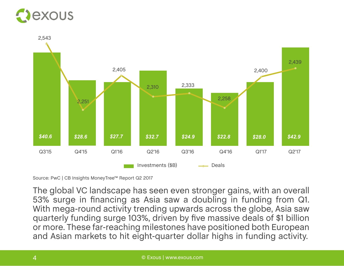## exous



Source: PwC | CB Insights MoneyTree™ Report Q2 2017

The global VC landscape has seen even stronger gains, with an overall 53% surge in financing as Asia saw a doubling in funding from Q1. With mega-round activity trending upwards across the globe, Asia saw quarterly funding surge 103%, driven by five massive deals of \$1 billion or more. These far-reaching milestones have positioned both European and Asian markets to hit eight-quarter dollar highs in funding activity.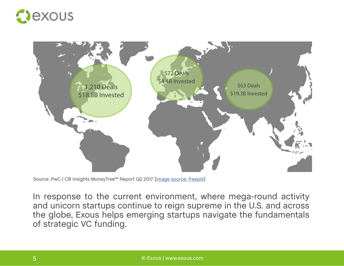



Source: PwC | CB Insights MoneyTree™ Report Q2 2017 [[image source](<a href="http://www.freepik.com/free-vector/grey-world-map_893780.htm">Designed by Freepik</a>): freepik]

In response to the current environment, where mega-round activity and unicorn startups continue to reign supreme in the U.S. and across the globe, Exous helps emerging startups navigate the fundamentals of strategic VC funding.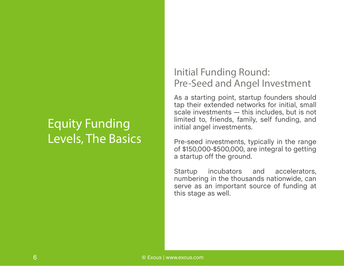## Equity Funding Levels, The Basics

## Initial Funding Round: Pre-Seed and Angel Investment

As a starting point, startup founders should tap their extended networks for initial, small scale investments — this includes, but is not limited to, friends, family, self funding, and initial angel investments.

Pre-seed investments, typically in the range of \$150,000-\$500,000, are integral to getting a startup off the ground.

Startup incubators and accelerators, numbering in the thousands nationwide, can serve as an important source of funding at this stage as well.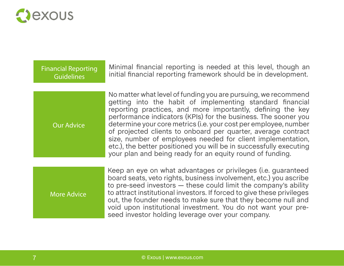

| <b>Financial Reporting</b><br><b>Guidelines</b> | Minimal financial reporting is needed at this level, though an<br>initial financial reporting framework should be in development.                                                                                                                                                                                                                                                                                                                                                                                                                                                                   |
|-------------------------------------------------|-----------------------------------------------------------------------------------------------------------------------------------------------------------------------------------------------------------------------------------------------------------------------------------------------------------------------------------------------------------------------------------------------------------------------------------------------------------------------------------------------------------------------------------------------------------------------------------------------------|
| <b>Our Advice</b>                               | No matter what level of funding you are pursuing, we recommend<br>getting into the habit of implementing standard financial<br>reporting practices, and more importantly, defining the key<br>performance indicators (KPIs) for the business. The sooner you<br>determine your core metrics (i.e. your cost per employee, number<br>of projected clients to onboard per quarter, average contract<br>size, number of employees needed for client implementation,<br>etc.), the better positioned you will be in successfully executing<br>your plan and being ready for an equity round of funding. |
| <b>More Advice</b>                              | Keep an eye on what advantages or privileges (i.e. guaranteed<br>board seats, veto rights, business involvement, etc.) you ascribe<br>to pre-seed investors - these could limit the company's ability<br>to attract institutional investors. If forced to give these privileges<br>out, the founder needs to make sure that they become null and<br>void upon institutional investment. You do not want your pre-<br>seed investor holding leverage over your company.                                                                                                                              |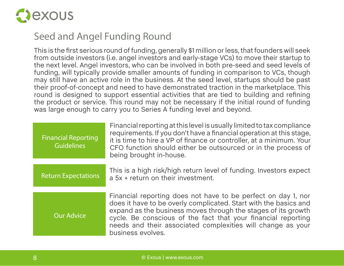

## Seed and Angel Funding Round

This is the first serious round of funding, generally \$1 million or less, that founders will seek from outside investors (i.e. angel investors and early-stage VCs) to move their startup to the next level. Angel investors, who can be involved in both pre-seed and seed levels of funding, will typically provide smaller amounts of funding in comparison to VCs, though may still have an active role in the business. At the seed level, startups should be past their proof-of-concept and need to have demonstrated traction in the marketplace. This round is designed to support essential activities that are tied to building and refining the product or service. This round may not be necessary if the initial round of funding was large enough to carry you to Series A funding level and beyond.

| <b>Financial Reporting</b><br><b>Guidelines</b> | Financial reporting at this level is usually limited to tax compliance<br>requirements. If you don't have a financial operation at this stage,<br>it is time to hire a VP of finance or controller, at a minimum. Your<br>CFO function should either be outsourced or in the process of<br>being brought in-house.                                      |
|-------------------------------------------------|---------------------------------------------------------------------------------------------------------------------------------------------------------------------------------------------------------------------------------------------------------------------------------------------------------------------------------------------------------|
| <b>Return Expectations</b>                      | This is a high risk/high return level of funding. Investors expect<br>a 5x + return on their investment.                                                                                                                                                                                                                                                |
| <b>Our Advice</b>                               | Financial reporting does not have to be perfect on day 1, nor<br>does it have to be overly complicated. Start with the basics and<br>expand as the business moves through the stages of its growth<br>cycle. Be conscious of the fact that your financial reporting<br>needs and their associated complexities will change as your<br>business evolves. |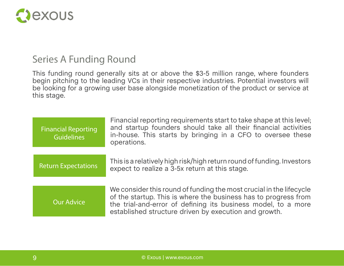

### Series A Funding Round

This funding round generally sits at or above the \$3-5 million range, where founders begin pitching to the leading VCs in their respective industries. Potential investors will be looking for a growing user base alongside monetization of the product or service at this stage.

| <b>Financial Reporting</b><br><b>Guidelines</b> | Financial reporting requirements start to take shape at this level;<br>and startup founders should take all their financial activities<br>in-house. This starts by bringing in a CFO to oversee these<br>operations.                                             |
|-------------------------------------------------|------------------------------------------------------------------------------------------------------------------------------------------------------------------------------------------------------------------------------------------------------------------|
|                                                 |                                                                                                                                                                                                                                                                  |
| <b>Return Expectations</b>                      | This is a relatively high risk/high return round of funding. Investors<br>expect to realize a 3-5x return at this stage.                                                                                                                                         |
|                                                 |                                                                                                                                                                                                                                                                  |
| <b>Our Advice</b>                               | We consider this round of funding the most crucial in the lifecycle<br>of the startup. This is where the business has to progress from<br>the trial-and-error of defining its business model, to a more<br>established structure driven by execution and growth. |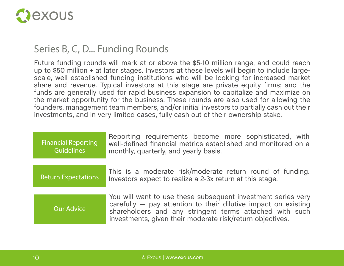

## Series B, C, D... Funding Rounds

Future funding rounds will mark at or above the \$5-10 million range, and could reach up to \$50 million + at later stages. Investors at these levels will begin to include largescale, well established funding institutions who will be looking for increased market share and revenue. Typical investors at this stage are private equity firms; and the funds are generally used for rapid business expansion to capitalize and maximize on the market opportunity for the business. These rounds are also used for allowing the founders, management team members, and/or initial investors to partially cash out their investments, and in very limited cases, fully cash out of their ownership stake.

| <b>Financial Reporting</b><br>Guidelines | Reporting requirements become more sophisticated, with<br>well-defined financial metrics established and monitored on a<br>monthly, quarterly, and yearly basis.                                                                                       |
|------------------------------------------|--------------------------------------------------------------------------------------------------------------------------------------------------------------------------------------------------------------------------------------------------------|
| <b>Return Expectations</b>               | This is a moderate risk/moderate return round of funding.<br>Investors expect to realize a 2-3x return at this stage.                                                                                                                                  |
| <b>Our Advice</b>                        | You will want to use these subsequent investment series very<br>carefully - pay attention to their dilutive impact on existing<br>shareholders and any stringent terms attached with such<br>investments, given their moderate risk/return objectives. |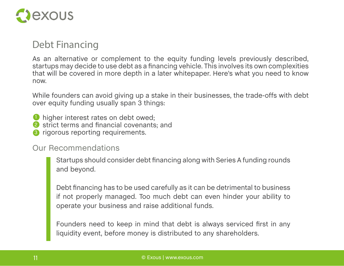

## Debt Financing

As an alternative or complement to the equity funding levels previously described, startups may decide to use debt as a financing vehicle. This involves its own complexities that will be covered in more depth in a later whitepaper. Here's what you need to know now.

While founders can avoid giving up a stake in their businesses, the trade-offs with debt over equity funding usually span 3 things:

- *O* higher interest rates on debt owed;
- 2 strict terms and financial covenants; and
- <sup>6</sup> rigorous reporting requirements.

Our Recommendations

Startups should consider debt financing along with Series A funding rounds and beyond.

Debt financing has to be used carefully as it can be detrimental to business if not properly managed. Too much debt can even hinder your ability to operate your business and raise additional funds.

Founders need to keep in mind that debt is always serviced first in any liquidity event, before money is distributed to any shareholders.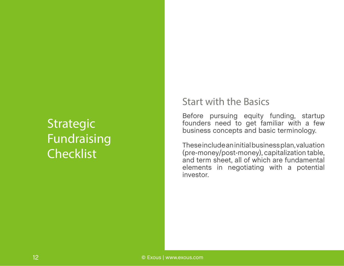## Strategic Fundraising **Checklist**

### Start with the Basics

Before pursuing equity funding, startup founders need to get familiar with a few business concepts and basic terminology.

These include an initial business plan, valuation (pre-money/post-money), capitalization table, and term sheet, all of which are fundamental elements in negotiating with a potential investor.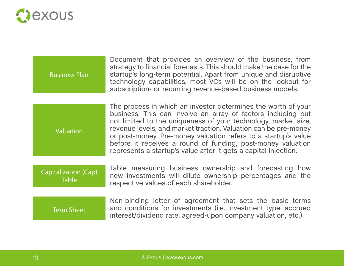

| <b>Business Plan</b> | Document that provides an overview of the business, from<br>strategy to financial forecasts. This should make the case for the<br>startup's long-term potential. Apart from unique and disruptive<br>technology capabilities, most VCs will be on the lookout for<br>subscription- or recurring revenue-based business models. |
|----------------------|--------------------------------------------------------------------------------------------------------------------------------------------------------------------------------------------------------------------------------------------------------------------------------------------------------------------------------|
|                      |                                                                                                                                                                                                                                                                                                                                |

The process in which an investor determines the worth of your business. This can involve an array of factors including but not limited to the uniqueness of your technology, market size, revenue levels, and market traction. Valuation can be pre-money or post-money. Pre-money valuation refers to a startup's value before it receives a round of funding, post-money valuation represents a startup's value after it gets a capital injection. Valuation

#### Capitalization (Cap) Table

Table measuring business ownership and forecasting how new investments will dilute ownership percentages and the respective values of each shareholder.

#### Non-binding letter of agreement that sets the basic terms and conditions for investments (i.e. investment type, accrued interest/dividend rate, agreed-upon company valuation, etc.). Term Sheet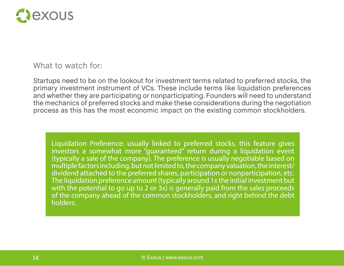

#### What to watch for:

Startups need to be on the lookout for investment terms related to preferred stocks, the primary investment instrument of VCs. These include terms like liquidation preferences and whether they are participating or nonparticipating. Founders will need to understand the mechanics of preferred stocks and make these considerations during the negotiation process as this has the most economic impact on the existing common stockholders.

Liquidation Preference: usually linked to preferred stocks, this feature gives investors a somewhat more "guaranteed" return during a liquidation event (typically a sale of the company). The preference is usually negotiable based on multiple factors including, but not limited to, the company valuation, the interest/ dividend attached to the preferred shares, participation or nonparticipation, etc. The liquidation preference amount (typically around 1x the initial investment but with the potential to go up to 2 or 3x) is generally paid from the sales proceeds of the company ahead of the common stockholders, and right behind the debt holders.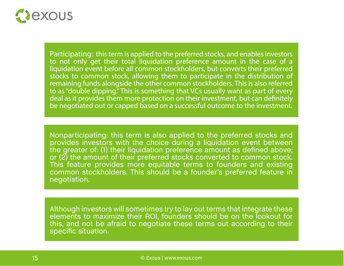

Participating: this term is applied to the preferred stocks, and enables investors to not only get their total liquidation preference amount in the case of a liquidation event before all common stockholders, but converts their preferred stocks to common stock, allowing them to participate in the distribution of remaining funds alongside the other common stockholders. This is also referred to as "double dipping." This is something that VCs usually want as part of every deal as it provides them more protection on their investment, but can definitely be negotiated out or capped based on a successful outcome to the investment.

Nonparticipating: this term is also applied to the preferred stocks and provides investors with the choice during a liquidation event between the greater of: (1) their liquidation preference amount as defined above; or (2) the amount of their preferred stocks converted to common stock. This feature provides more equitable terms to founders and existing common stockholders. This should be a founder's preferred feature in negotiation.

Although investors will sometimes try to lay out terms that integrate these elements to maximize their ROI, founders should be on the lookout for this, and not be afraid to negotiate these terms out according to their specific situation.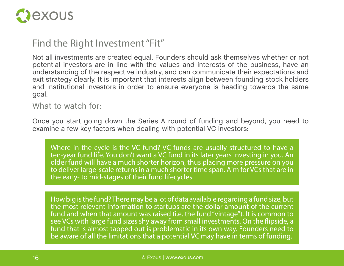

## Find the Right Investment "Fit"

Not all investments are created equal. Founders should ask themselves whether or not potential investors are in line with the values and interests of the business, have an understanding of the respective industry, and can communicate their expectations and exit strategy clearly. It is important that interests align between founding stock holders and institutional investors in order to ensure everyone is heading towards the same goal.

#### What to watch for:

Once you start going down the Series A round of funding and beyond, you need to examine a few key factors when dealing with potential VC investors:

Where in the cycle is the VC fund? VC funds are usually structured to have a ten-year fund life. You don't want a VC fund in its later years investing in you. An older fund will have a much shorter horizon, thus placing more pressure on you to deliver large-scale returns in a much shorter time span. Aim for VCs that are in the early- to mid-stages of their fund lifecycles.

How big is the fund? There may be a lot of data available regarding a fund size, but the most relevant information to startups are the dollar amount of the current fund and when that amount was raised (i.e. the fund "vintage"). It is common to see VCs with large fund sizes shy away from small investments. On the flipside, a fund that is almost tapped out is problematic in its own way. Founders need to be aware of all the limitations that a potential VC may have in terms of funding.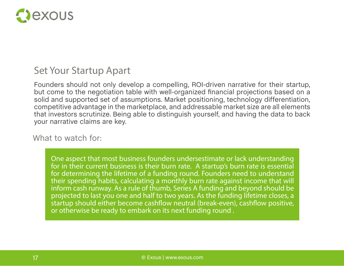

### Set Your Startup Apart

Founders should not only develop a compelling, ROI-driven narrative for their startup, but come to the negotiation table with well-organized financial projections based on a solid and supported set of assumptions. Market positioning, technology differentiation, competitive advantage in the marketplace, and addressable market size are all elements that investors scrutinize. Being able to distinguish yourself, and having the data to back your narrative claims are key.

#### What to watch for:

One aspect that most business founders undersestimate or lack understanding for in their current business is their burn rate. A startup's burn rate is essential for determining the lifetime of a funding round. Founders need to understand their spending habits, calculating a monthly burn rate against income that will inform cash runway. As a rule of thumb, Series A funding and beyond should be projected to last you one and half to two years. As the funding lifetime closes, a startup should either become cashflow neutral (break-even), cashflow positive, or otherwise be ready to embark on its next funding round .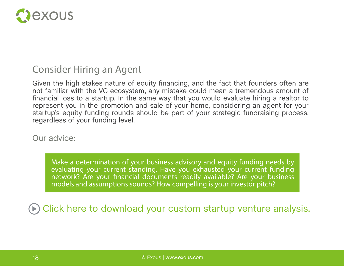

### Consider Hiring an Agent

Given the high stakes nature of equity financing, and the fact that founders often are not familiar with the VC ecosystem, any mistake could mean a tremendous amount of financial loss to a startup. In the same way that you would evaluate hiring a realtor to represent you in the promotion and sale of your home, considering an agent for your startup's equity funding rounds should be part of your strategic fundraising process, regardless of your funding level.

Our advice:

Make a determination of your business advisory and equity funding needs by evaluating your current standing. Have you exhausted your current funding network? Are your financial documents readily available? Are your business models and assumptions sounds? How compelling is your investor pitch?

[Click here to download your custom startup venture analysis.](https://www.exous.com/startup-venture-analysis?utm_campaign=vc%20funding%20ebook&utm_medium=download&utm_source=ebook)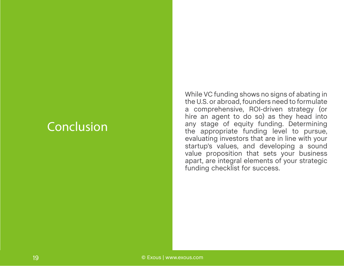## Conclusion

While VC funding shows no signs of abating in the U.S. or abroad, founders need to formulate a comprehensive, ROI-driven strategy (or hire an agent to do so) as they head into any stage of equity funding. Determining the appropriate funding level to pursue, evaluating investors that are in line with your startup's values, and developing a sound value proposition that sets your business apart, are integral elements of your strategic funding checklist for success.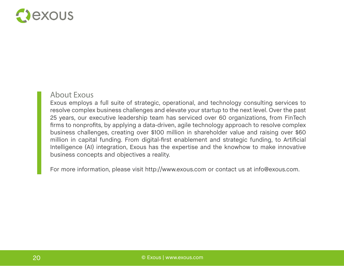

#### About Exous

Exous employs a full suite of strategic, operational, and technology consulting services to resolve complex business challenges and elevate your startup to the next level. Over the past 25 years, our executive leadership team has serviced over 60 organizations, from FinTech firms to nonprofits, by applying a data-driven, agile technology approach to resolve complex business challenges, creating over \$100 million in shareholder value and raising over \$60 million in capital funding. From digital-first enablement and strategic funding, to Artificial Intelligence (AI) integration, Exous has the expertise and the knowhow to make innovative business concepts and objectives a reality.

For more information, please visit http://www.exous.com or contact us at info@exous.com.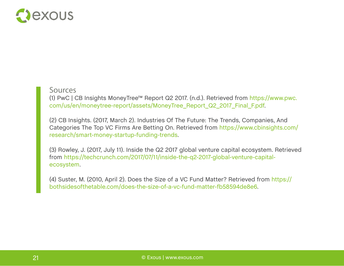

#### Sources

(1) PwC | CB Insights MoneyTree™ Report Q2 2017. (n.d.). Retrieved from https://www.pwc. com/us/en/moneytree-report/assets/MoneyTree\_Report\_Q2\_2017\_Final\_F.pdf.

(2) CB Insights. (2017, March 2). Industries Of The Future: The Trends, Companies, And Categories The Top VC Firms Are Betting On. Retrieved from https://www.cbinsights.com/ research/smart-money-startup-funding-trends.

(3) Rowley, J. (2017, July 11). Inside the Q2 2017 global venture capital ecosystem. Retrieved from https://techcrunch.com/2017/07/11/inside-the-q2-2017-global-venture-capitalecosystem.

(4) Suster, M. (2010, April 2). Does the Size of a VC Fund Matter? Retrieved from https:// bothsidesofthetable.com/does-the-size-of-a-vc-fund-matter-fb58594de8e6.